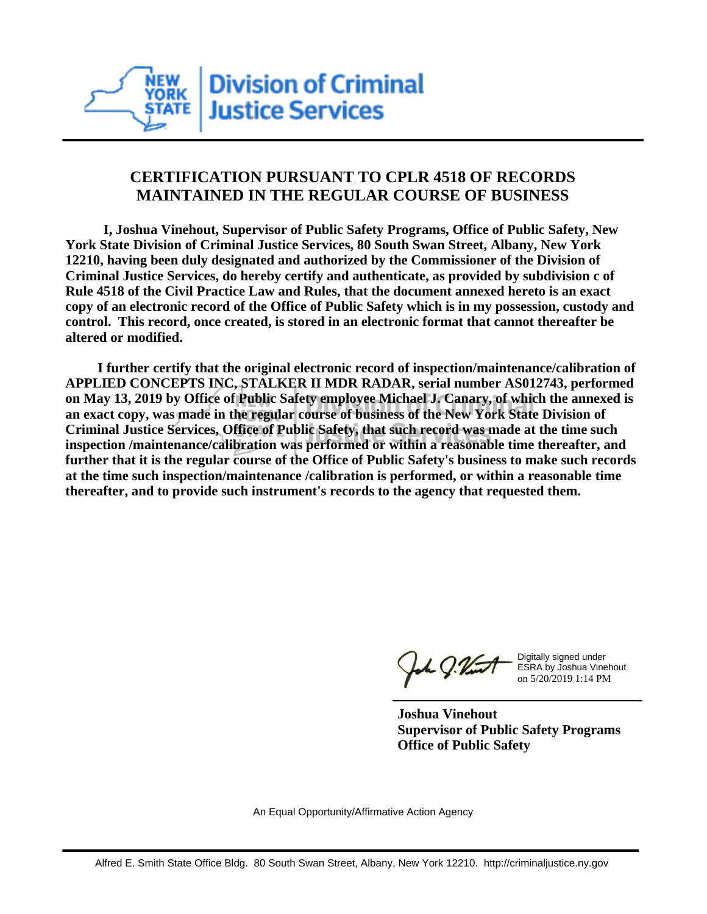

## **CERTIFICATION PURSUANT TO CPLR 4518 OF RECORDS MAINTAINED IN THE REGULAR COURSE OF BUSINESS**

 **I, Joshua Vinehout, Supervisor of Public Safety Programs, Office of Public Safety, New York State Division of Criminal Justice Services, 80 South Swan Street, Albany, New York 12210, having been duly designated and authorized by the Commissioner of the Division of Criminal Justice Services, do hereby certify and authenticate, as provided by subdivision c of Rule 4518 of the Civil Practice Law and Rules, that the document annexed hereto is an exact copy of an electronic record of the Office of Public Safety which is in my possession, custody and control. This record, once created, is stored in an electronic format that cannot thereafter be altered or modified.**

 **I further certify that the original electronic record of inspection/maintenance/calibration of APPLIED CONCEPTS INC, STALKER II MDR RADAR, serial number AS012743, performed on May 13, 2019 by Office of Public Safety employee Michael J. Canary, of which the annexed is an exact copy, was made in the regular course of business of the New York State Division of Criminal Justice Services, Office of Public Safety, that such record was made at the time such inspection /maintenance/calibration was performed or within a reasonable time thereafter, and further that it is the regular course of the Office of Public Safety's business to make such records at the time such inspection/maintenance /calibration is performed, or within a reasonable time thereafter, and to provide such instrument's records to the agency that requested them.**

h J.Vint

Digitally signed under ESRA by Joshua Vinehout on 5/20/2019 1:14 PM

**Joshua Vinehout Supervisor of Public Safety Programs Office of Public Safety**

An Equal Opportunity/Affirmative Action Agency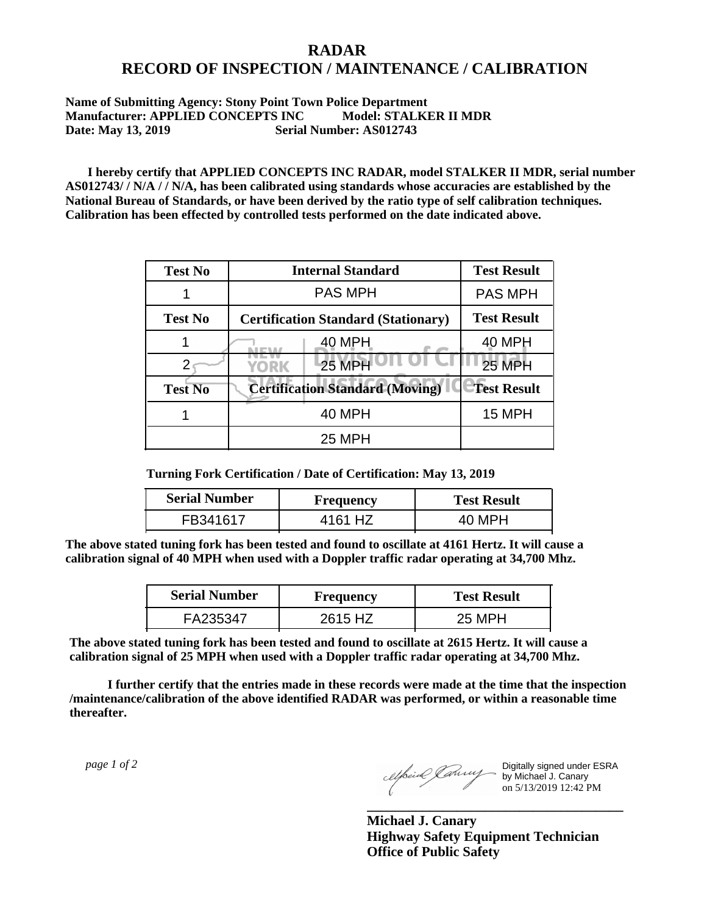## **RADAR RECORD OF INSPECTION / MAINTENANCE / CALIBRATION**

## **Name of Submitting Agency: Stony Point Town Police Department Manufacturer: APPLIED CONCEPTS INC Model: STALKER II MDR Date: May 13, 2019 Serial Number: AS012743**

 **I hereby certify that APPLIED CONCEPTS INC RADAR, model STALKER II MDR, serial number AS012743/ / N/A / / N/A, has been calibrated using standards whose accuracies are established by the National Bureau of Standards, or have been derived by the ratio type of self calibration techniques. Calibration has been effected by controlled tests performed on the date indicated above.**

| <b>Test No</b> | <b>Internal Standard</b>                   | <b>Test Result</b> |
|----------------|--------------------------------------------|--------------------|
|                | <b>PAS MPH</b>                             | <b>PAS MPH</b>     |
| <b>Test No</b> | <b>Certification Standard (Stationary)</b> | <b>Test Result</b> |
|                | 40 MPH                                     | 40 MPH             |
|                | 25 MPH<br>YORK                             | 25 MPH             |
| <b>Test No</b> | <b>Certification Standard (Moving)</b>     | <b>Test Result</b> |
|                | 40 MPH                                     | <b>15 MPH</b>      |
|                | <b>25 MPH</b>                              |                    |

**Turning Fork Certification / Date of Certification: May 13, 2019**

| <b>Serial Number</b> | <b>Frequency</b> | <b>Test Result</b> |
|----------------------|------------------|--------------------|
| FR341617             | 4161 HZ          | 40 MPH             |

**The above stated tuning fork has been tested and found to oscillate at 4161 Hertz. It will cause a calibration signal of 40 MPH when used with a Doppler traffic radar operating at 34,700 Mhz.**

| <b>Serial Number</b> | Frequency | <b>Test Result</b> |
|----------------------|-----------|--------------------|
| FA235347             | 2615 HZ   | 25 MPH             |

**The above stated tuning fork has been tested and found to oscillate at 2615 Hertz. It will cause a calibration signal of 25 MPH when used with a Doppler traffic radar operating at 34,700 Mhz.**

 **I further certify that the entries made in these records were made at the time that the inspection /maintenance/calibration of the above identified RADAR was performed, or within a reasonable time thereafter.**

 *page 1 of 2* 

Digitally signed under ESRA by Michael J. Canary on 5/13/2019 12:42 PM

**Michael J. Canary Highway Safety Equipment Technician Office of Public Safety**

**\_\_\_\_\_\_\_\_\_\_\_\_\_\_\_\_\_\_\_\_\_\_\_\_\_\_\_\_\_\_\_\_\_\_\_\_\_**